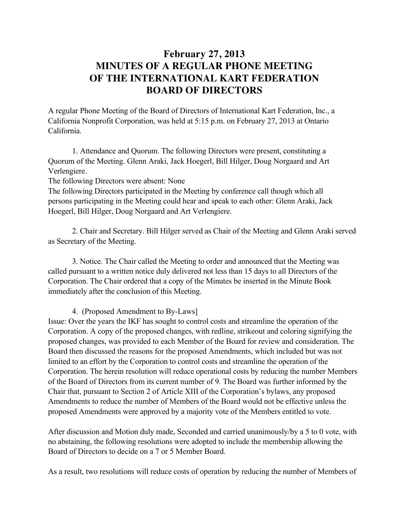## **February 27, 2013 MINUTES OF A REGULAR PHONE MEETING OF THE INTERNATIONAL KART FEDERATION BOARD OF DIRECTORS**

A regular Phone Meeting of the Board of Directors of International Kart Federation, Inc., a California Nonprofit Corporation, was held at 5:15 p.m. on February 27, 2013 at Ontario California.

1. Attendance and Quorum. The following Directors were present, constituting a Quorum of the Meeting. Glenn Araki, Jack Hoegerl, Bill Hilger, Doug Norgaard and Art Verlengiere.

The following Directors were absent: None

The following Directors participated in the Meeting by conference call though which all persons participating in the Meeting could hear and speak to each other: Glenn Araki, Jack Hoegerl, Bill Hilger, Doug Norgaard and Art Verlengiere.

2. Chair and Secretary. Bill Hilger served as Chair of the Meeting and Glenn Araki served as Secretary of the Meeting.

3. Notice. The Chair called the Meeting to order and announced that the Meeting was called pursuant to a written notice duly delivered not less than 15 days to all Directors of the Corporation. The Chair ordered that a copy of the Minutes be inserted in the Minute Book immediately after the conclusion of this Meeting.

4. (Proposed Amendment to By-Laws]

Issue: Over the years the IKF has sought to control costs and streamline the operation of the Corporation. A copy of the proposed changes, with redline, strikeout and coloring signifying the proposed changes, was provided to each Member of the Board for review and consideration. The Board then discussed the reasons for the proposed Amendments, which included but was not limited to an effort by the Corporation to control costs and streamline the operation of the Corporation. The herein resolution will reduce operational costs by reducing the number Members of the Board of Directors from its current number of 9. The Board was further informed by the Chair that, pursuant to Section 2 of Article XIII of the Corporation's bylaws, any proposed Amendments to reduce the number of Members of the Board would not be effective unless the proposed Amendments were approved by a majority vote of the Members entitled to vote.

After discussion and Motion duly made, Seconded and carried unanimously/by a 5 to 0 vote, with no abstaining, the following resolutions were adopted to include the membership allowing the Board of Directors to decide on a 7 or 5 Member Board.

As a result, two resolutions will reduce costs of operation by reducing the number of Members of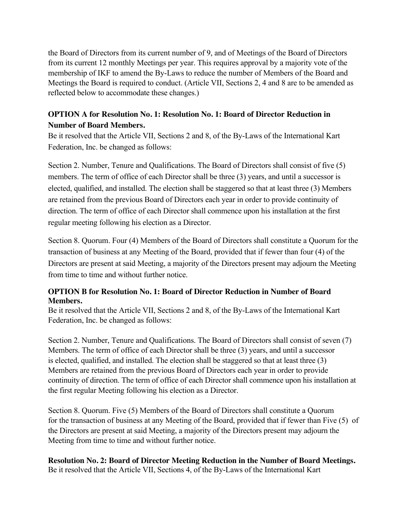the Board of Directors from its current number of 9, and of Meetings of the Board of Directors from its current 12 monthly Meetings per year. This requires approval by a majority vote of the membership of IKF to amend the By-Laws to reduce the number of Members of the Board and Meetings the Board is required to conduct. (Article VII, Sections 2, 4 and 8 are to be amended as reflected below to accommodate these changes.)

## **OPTION A for Resolution No. 1: Resolution No. 1: Board of Director Reduction in Number of Board Members.**

Be it resolved that the Article VII, Sections 2 and 8, of the By-Laws of the International Kart Federation, Inc. be changed as follows:

Section 2. Number, Tenure and Qualifications. The Board of Directors shall consist of five (5) members. The term of office of each Director shall be three (3) years, and until a successor is elected, qualified, and installed. The election shall be staggered so that at least three (3) Members are retained from the previous Board of Directors each year in order to provide continuity of direction. The term of office of each Director shall commence upon his installation at the first regular meeting following his election as a Director.

Section 8. Quorum. Four (4) Members of the Board of Directors shall constitute a Quorum for the transaction of business at any Meeting of the Board, provided that if fewer than four (4) of the Directors are present at said Meeting, a majority of the Directors present may adjourn the Meeting from time to time and without further notice.

## **OPTION B for Resolution No. 1: Board of Director Reduction in Number of Board Members.**

Be it resolved that the Article VII, Sections 2 and 8, of the By-Laws of the International Kart Federation, Inc. be changed as follows:

Section 2. Number, Tenure and Qualifications. The Board of Directors shall consist of seven (7) Members. The term of office of each Director shall be three (3) years, and until a successor is elected, qualified, and installed. The election shall be staggered so that at least three (3) Members are retained from the previous Board of Directors each year in order to provide continuity of direction. The term of office of each Director shall commence upon his installation at the first regular Meeting following his election as a Director.

Section 8. Quorum. Five (5) Members of the Board of Directors shall constitute a Quorum for the transaction of business at any Meeting of the Board, provided that if fewer than Five (5) of the Directors are present at said Meeting, a majority of the Directors present may adjourn the Meeting from time to time and without further notice.

**Resolution No. 2: Board of Director Meeting Reduction in the Number of Board Meetings.** Be it resolved that the Article VII, Sections 4, of the By-Laws of the International Kart